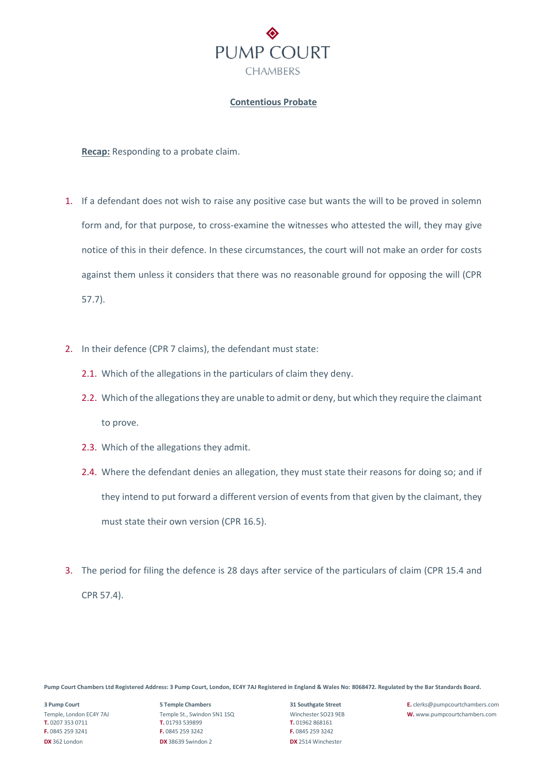

# **Contentious Probate**

**Recap:** Responding to a probate claim.

- 1. If a defendant does not wish to raise any positive case but wants the will to be proved in solemn form and, for that purpose, to cross-examine the witnesses who attested the will, they may give notice of this in their defence. In these circumstances, the court will not make an order for costs against them unless it considers that there was no reasonable ground for opposing the will (CPR 57.7).
- 2. In their defence (CPR 7 claims), the defendant must state:
	- 2.1. Which of the allegations in the particulars of claim they deny.
	- 2.2. Which of the allegations they are unable to admit or deny, but which they require the claimant to prove.
	- 2.3. Which of the allegations they admit.
	- 2.4. Where the defendant denies an allegation, they must state their reasons for doing so; and if they intend to put forward a different version of events from that given by the claimant, they must state their own version (CPR 16.5).
- 3. The period for filing the defence is 28 days after service of the particulars of claim (CPR 15.4 and CPR 57.4).

**Pump Court Chambers Ltd Registered Address: 3 Pump Court, London, EC4Y 7AJ Registered in England & Wales No: 8068472. Regulated by the Bar Standards Board.**

**T.** 0207 353 0711 **T.** 01793 539899 **T.** 01962 868161 **F.** 0845 259 3241 **F.** 0845 259 3242 **F.** 0845 259 3242 **DX** 362 London **DX** 38639 Swindon 2 **DX** 2514 Winchester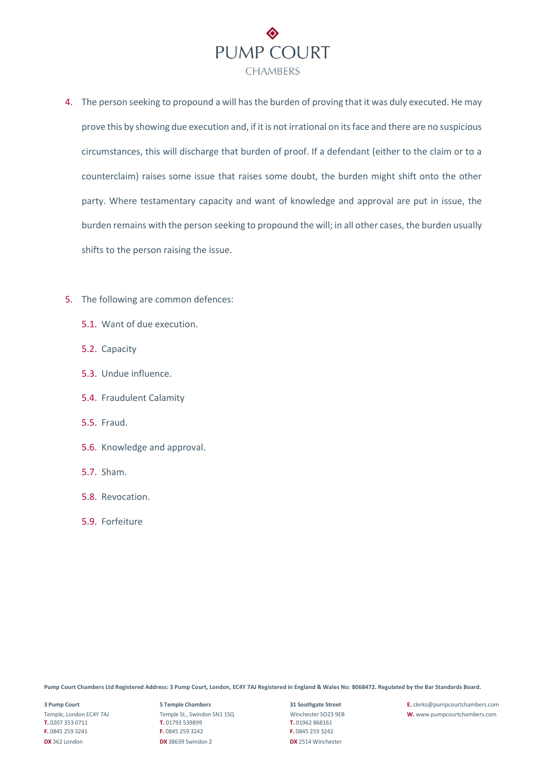

- 4. The person seeking to propound a will has the burden of proving that it was duly executed. He may prove this by showing due execution and, if it is not irrational on its face and there are no suspicious circumstances, this will discharge that burden of proof. If a defendant (either to the claim or to a counterclaim) raises some issue that raises some doubt, the burden might shift onto the other party. Where testamentary capacity and want of knowledge and approval are put in issue, the burden remains with the person seeking to propound the will; in all other cases, the burden usually shifts to the person raising the issue.
- 5. The following are common defences:
	- 5.1. Want of due execution.
	- 5.2. Capacity
	- 5.3. Undue influence.
	- 5.4. Fraudulent Calamity
	- 5.5. Fraud.
	- 5.6. Knowledge and approval.
	- 5.7. Sham.
	- 5.8. Revocation.
	- 5.9. Forfeiture

**T.** 0207 353 0711 **T.** 01793 539899 **T.** 01962 868161 **F.** 0845 259 3241 **F.** 0845 259 3242 **F.** 0845 259 3242 **DX** 362 London **DX** 38639 Swindon 2 **DX** 2514 Winchester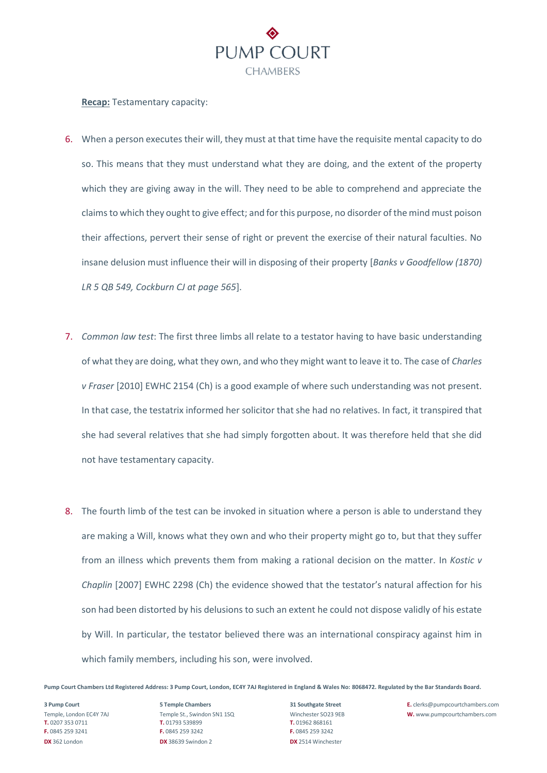

### **Recap:** Testamentary capacity:

- 6. When a person executes their will, they must at that time have the requisite mental capacity to do so. This means that they must understand what they are doing, and the extent of the property which they are giving away in the will. They need to be able to comprehend and appreciate the claims to which they ought to give effect; and for this purpose, no disorder of the mind must poison their affections, pervert their sense of right or prevent the exercise of their natural faculties. No insane delusion must influence their will in disposing of their property [*Banks v [Goodfellow](https://uk.practicallaw.thomsonreuters.com/D-000-5099?originationContext=document&transitionType=PLDocumentLink&contextData=(sc.Default)&ppcid=af149b484ee6480db113ab5cd7291196) (1870) LR 5 QB [549,](https://uk.practicallaw.thomsonreuters.com/D-000-5099?originationContext=document&transitionType=PLDocumentLink&contextData=(sc.Default)&ppcid=af149b484ee6480db113ab5cd7291196) Cockburn CJ at page 565*].
- 7. *Common law test*: The first three limbs all relate to a testator having to have basic understanding of what they are doing, what they own, and who they might want to leave it to. The case of *Charles v Fraser* [2010] EWHC 2154 (Ch) is a good example of where such understanding was not present. In that case, the testatrix informed her solicitor that she had no relatives. In fact, it transpired that she had several relatives that she had simply forgotten about. It was therefore held that she did not have testamentary capacity.
- 8. The fourth limb of the test can be invoked in situation where a person is able to understand they are making a Will, knows what they own and who their property might go to, but that they suffer from an illness which prevents them from making a rational decision on the matter. In *Kostic v Chaplin* [2007] EWHC 2298 (Ch) the evidence showed that the testator's natural affection for his son had been distorted by his delusions to such an extent he could not dispose validly of his estate by Will. In particular, the testator believed there was an international conspiracy against him in which family members, including his son, were involved.

**Pump Court Chambers Ltd Registered Address: 3 Pump Court, London, EC4Y 7AJ Registered in England & Wales No: 8068472. Regulated by the Bar Standards Board.**

**T.** 0207 353 0711 **T.** 01793 539899 **T.** 01962 868161 **F.** 0845 259 3241 **F.** 0845 259 3242 **F.** 0845 259 3242 **DX** 362 London **DX** 38639 Swindon 2 **DX** 2514 Winchester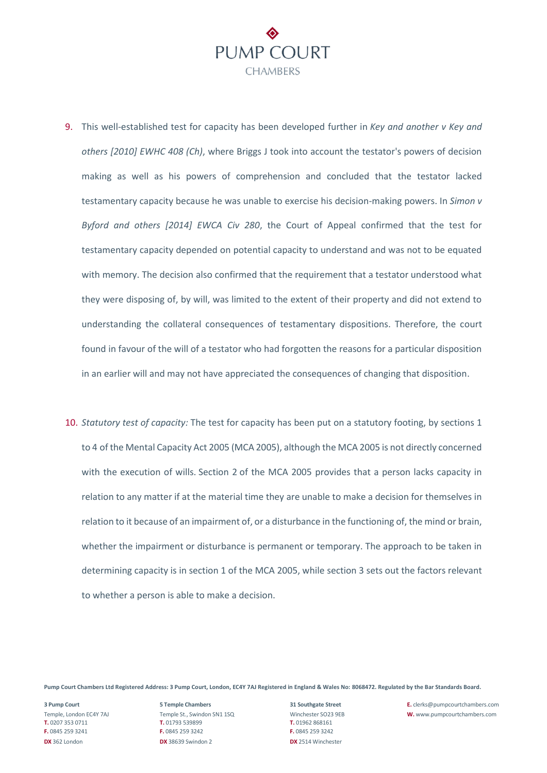

- 9. This well-established test for capacity has been developed further in *Key and [another](https://uk.practicallaw.thomsonreuters.com/D-001-0670?originationContext=document&transitionType=PLDocumentLink&contextData=(sc.Default)&ppcid=af149b484ee6480db113ab5cd7291196) v Key and others [\[2010\]](https://uk.practicallaw.thomsonreuters.com/D-001-0670?originationContext=document&transitionType=PLDocumentLink&contextData=(sc.Default)&ppcid=af149b484ee6480db113ab5cd7291196) EWHC 408 (Ch)*, where Briggs J took into account the testator's powers of decision making as well as his powers of comprehension and concluded that the testator lacked testamentary capacity because he was unable to exercise his decision-making powers. In *[Simon](https://uk.practicallaw.thomsonreuters.com/D-102-7985?originationContext=document&transitionType=PLDocumentLink&contextData=(sc.Default)&ppcid=af149b484ee6480db113ab5cd7291196) v [Byford](https://uk.practicallaw.thomsonreuters.com/D-102-7985?originationContext=document&transitionType=PLDocumentLink&contextData=(sc.Default)&ppcid=af149b484ee6480db113ab5cd7291196) and others [2014] EWCA Civ 280*, the Court of Appeal confirmed that the test for testamentary capacity depended on potential capacity to understand and was not to be equated with memory. The decision also confirmed that the requirement that a testator understood what they were disposing of, by will, was limited to the extent of their property and did not extend to understanding the collateral consequences of testamentary dispositions. Therefore, the court found in favour of the will of a testator who had forgotten the reasons for a particular disposition in an earlier will and may not have appreciated the consequences of changing that disposition.
- 10. *Statutory test of capacity:* The test for capacity has been put on a statutory footing, by [sections](https://uk.practicallaw.thomsonreuters.com/4-508-4120?originationContext=document&transitionType=PLDocumentLink&contextData=(sc.Default)&ppcid=af149b484ee6480db113ab5cd7291196) 1 [to](https://uk.practicallaw.thomsonreuters.com/4-508-4120?originationContext=document&transitionType=PLDocumentLink&contextData=(sc.Default)&ppcid=af149b484ee6480db113ab5cd7291196) 4 of the Mental Capacity Act 2005 (MCA 2005), although the MCA 2005 is not directly concerned with the execution of wills. [Section](https://uk.practicallaw.thomsonreuters.com/6-505-5334?originationContext=document&transitionType=PLDocumentLink&contextData=(sc.Default)&ppcid=af149b484ee6480db113ab5cd7291196) 2 of the MCA 2005 provides that a person lacks capacity in relation to any matter if at the material time they are unable to make a decision for themselves in relation to it because of an impairment of, or a disturbance in the functioning of, the mind or brain, whether the impairment or disturbance is permanent or temporary. The approach to be taken in determining capacity is in section 1 of the MCA 2005, while [section](https://uk.practicallaw.thomsonreuters.com/5-512-2070?originationContext=document&transitionType=PLDocumentLink&contextData=(sc.Default)&ppcid=af149b484ee6480db113ab5cd7291196) 3 sets out the factors relevant to whether a person is able to make a decision.

**T.** 0207 353 0711 **T.** 01793 539899 **T.** 01962 868161 **F.** 0845 259 3241 **F.** 0845 259 3242 **F.** 0845 259 3242 **DX** 362 London **DX** 38639 Swindon 2 **DX** 2514 Winchester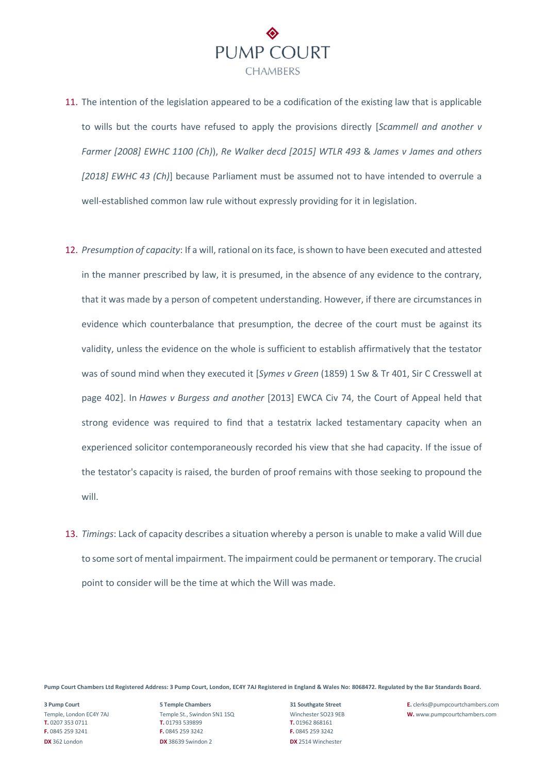

- 11. The intention of the legislation appeared to be a codification of the existing law that is applicable to wills but the courts have refused to apply the provisions directly [*[Scammell](https://uk.practicallaw.thomsonreuters.com/D-001-0672?originationContext=document&transitionType=PLDocumentLink&contextData=(sc.Default)&ppcid=af149b484ee6480db113ab5cd7291196) and another v [Farmer](https://uk.practicallaw.thomsonreuters.com/D-001-0672?originationContext=document&transitionType=PLDocumentLink&contextData=(sc.Default)&ppcid=af149b484ee6480db113ab5cd7291196) [2008] EWHC 1100 (Ch)*), *Re Walker decd [2015] WTLR 493* & *James v James and [others](https://uk.practicallaw.thomsonreuters.com/D-101-9897?originationContext=document&transitionType=PLDocumentLink&contextData=(sc.Default)&ppcid=af149b484ee6480db113ab5cd7291196) [\[2018\]](https://uk.practicallaw.thomsonreuters.com/D-101-9897?originationContext=document&transitionType=PLDocumentLink&contextData=(sc.Default)&ppcid=af149b484ee6480db113ab5cd7291196) EWHC 43 (Ch)*] because Parliament must be assumed not to have intended to overrule a well-established common law rule without expressly providing for it in legislation.
- 12. *Presumption of capacity*: If a will, rational on its face, is shown to have been executed and attested in the manner prescribed by law, it is presumed, in the absence of any evidence to the contrary, that it was made by a person of competent understanding. However, if there are circumstances in evidence which counterbalance that presumption, the decree of the court must be against its validity, unless the evidence on the whole is sufficient to establish affirmatively that the testator was of sound mind when they executed it [*Symes v Green* [\(1859\)](https://uk.practicallaw.thomsonreuters.com/D-001-0674?originationContext=document&transitionType=PLDocumentLink&contextData=(sc.Default)&ppcid=af149b484ee6480db113ab5cd7291196) 1 Sw & Tr 401, Sir C Cresswell at page 402]. In *Hawes v Burgess and [another](https://uk.practicallaw.thomsonreuters.com/D-102-7986?originationContext=document&transitionType=PLDocumentLink&contextData=(sc.Default)&ppcid=af149b484ee6480db113ab5cd7291196)* [2013] EWCA Civ 74, the Court of Appeal held that strong evidence was required to find that a testatrix lacked testamentary capacity when an experienced solicitor contemporaneously recorded his view that she had capacity. If the issue of the testator's capacity is raised, the burden of proof remains with those seeking to propound the will.
- 13. *Timings*: Lack of capacity describes a situation whereby a person is unable to make a valid Will due to some sort of mental impairment. The impairment could be permanent or temporary. The crucial point to consider will be the time at which the Will was made.

**T.** 0207 353 0711 **T.** 01793 539899 **T.** 01962 868161 **F.** 0845 259 3241 **F.** 0845 259 3242 **F.** 0845 259 3242 **DX** 362 London **DX** 38639 Swindon 2 **DX** 2514 Winchester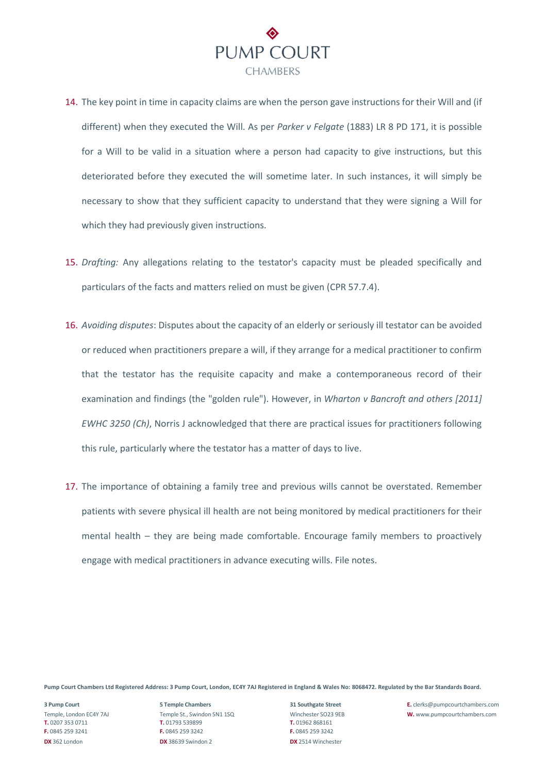

- 14. The key point in time in capacity claims are when the person gave instructions for their Will and (if different) when they executed the Will. As per *Parker v Felgate* (1883) LR 8 PD 171, it is possible for a Will to be valid in a situation where a person had capacity to give instructions, but this deteriorated before they executed the will sometime later. In such instances, it will simply be necessary to show that they sufficient capacity to understand that they were signing a Will for which they had previously given instructions.
- 15. *Drafting:* Any allegations relating to the testator's capacity must be pleaded specifically and particulars of the facts and matters relied on must be given (CPR [57.7.4\)](https://uk.practicallaw.thomsonreuters.com/w-017-6300?originationContext=document&transitionType=PLDocumentLink&contextData=(sc.Default)&ppcid=af149b484ee6480db113ab5cd7291196).
- 16. *Avoiding disputes*: Disputes about the capacity of an elderly or seriously ill testator can be avoided or reduced when practitioners prepare a will, if they arrange for a medical practitioner to confirm that the testator has the requisite capacity and make a contemporaneous record of their examination and findings (the "golden rule"). However, in *[Wharton](https://uk.practicallaw.thomsonreuters.com/D-000-1592?originationContext=document&transitionType=PLDocumentLink&contextData=(sc.Default)&ppcid=af149b484ee6480db113ab5cd7291196) v Bancroft and others [2011] [EWHC](https://uk.practicallaw.thomsonreuters.com/D-000-1592?originationContext=document&transitionType=PLDocumentLink&contextData=(sc.Default)&ppcid=af149b484ee6480db113ab5cd7291196) 3250 (Ch)*, Norris J acknowledged that there are practical issues for practitioners following this rule, particularly where the testator has a matter of days to live.
- 17. The importance of obtaining a family tree and previous wills cannot be overstated. Remember patients with severe physical ill health are not being monitored by medical practitioners for their mental health – they are being made comfortable. Encourage family members to proactively engage with medical practitioners in advance executing wills. File notes.

**T.** 0207 353 0711 **T.** 01793 539899 **T.** 01962 868161 **F.** 0845 259 3241 **F.** 0845 259 3242 **F.** 0845 259 3242 **DX** 362 London **DX** 38639 Swindon 2 **DX** 2514 Winchester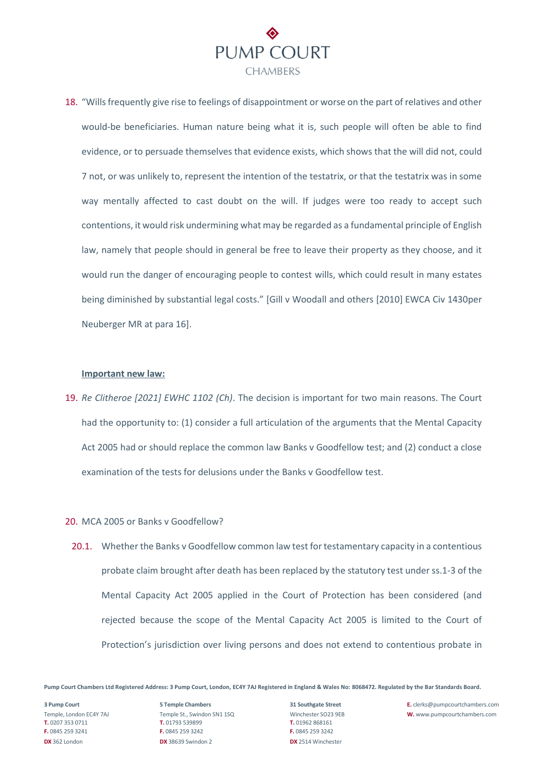

18. "Wills frequently give rise to feelings of disappointment or worse on the part of relatives and other would-be beneficiaries. Human nature being what it is, such people will often be able to find evidence, or to persuade themselves that evidence exists, which shows that the will did not, could 7 not, or was unlikely to, represent the intention of the testatrix, or that the testatrix was in some way mentally affected to cast doubt on the will. If judges were too ready to accept such contentions, it would risk undermining what may be regarded as a fundamental principle of English law, namely that people should in general be free to leave their property as they choose, and it would run the danger of encouraging people to contest wills, which could result in many estates being diminished by substantial legal costs." [Gill v Woodall and others [2010] EWCA Civ 1430per Neuberger MR at para 16].

### **Important new law:**

19. *Re Clitheroe [2021] EWHC 1102 (Ch)*. The decision is important for two main reasons. The Court had the opportunity to: (1) consider a full articulation of the arguments that the Mental Capacity Act 2005 had or should replace the common law Banks v Goodfellow test; and (2) conduct a close examination of the tests for delusions under the Banks v Goodfellow test.

## 20. MCA 2005 or Banks v Goodfellow?

20.1. Whether the Banks v Goodfellow common law test for testamentary capacity in a contentious probate claim brought after death has been replaced by the statutory test under ss.1-3 of the Mental Capacity Act 2005 applied in the Court of Protection has been considered (and rejected because the scope of the Mental Capacity Act 2005 is limited to the Court of Protection's jurisdiction over living persons and does not extend to contentious probate in

**Pump Court Chambers Ltd Registered Address: 3 Pump Court, London, EC4Y 7AJ Registered in England & Wales No: 8068472. Regulated by the Bar Standards Board.**

**T.** 0207 353 0711 **T.** 01793 539899 **T.** 01962 868161 **F.** 0845 259 3241 **F.** 0845 259 3242 **F.** 0845 259 3242 **DX** 362 London **DX** 38639 Swindon 2 **DX** 2514 Winchester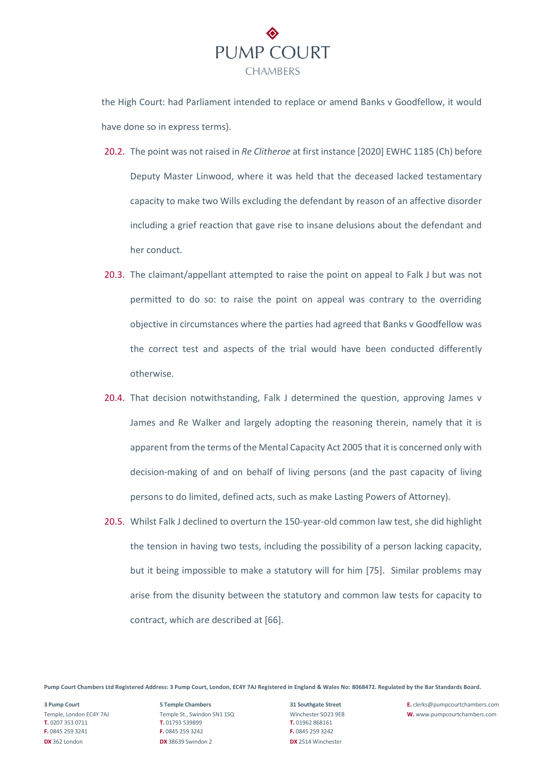

the High Court: had Parliament intended to replace or amend Banks v Goodfellow, it would have done so in express terms).

- 20.2. The point was not raised in *Re Clitheroe* at first instance [2020] EWHC 1185 (Ch) before Deputy Master Linwood, where it was held that the deceased lacked testamentary capacity to make two Wills excluding the defendant by reason of an affective disorder including a grief reaction that gave rise to insane delusions about the defendant and her conduct.
- 20.3. The claimant/appellant attempted to raise the point on appeal to Falk J but was not permitted to do so: to raise the point on appeal was contrary to the overriding objective in circumstances where the parties had agreed that Banks v Goodfellow was the correct test and aspects of the trial would have been conducted differently otherwise.
- 20.4. That decision notwithstanding, Falk J determined the question, approving James v James and Re Walker and largely adopting the reasoning therein, namely that it is apparent from the terms of the Mental Capacity Act 2005 that it is concerned only with decision-making of and on behalf of living persons (and the past capacity of living persons to do limited, defined acts, such as make Lasting Powers of Attorney).
- 20.5. Whilst Falk J declined to overturn the 150-year-old common law test, she did highlight the tension in having two tests, including the possibility of a person lacking capacity, but it being impossible to make a statutory will for him [75]. Similar problems may arise from the disunity between the statutory and common law tests for capacity to contract, which are described at [66].

**Pump Court Chambers Ltd Registered Address: 3 Pump Court, London, EC4Y 7AJ Registered in England & Wales No: 8068472. Regulated by the Bar Standards Board.**

**T.** 0207 353 0711 **T.** 01793 539899 **T.** 01962 868161 **F.** 0845 259 3241 **F.** 0845 259 3242 **F.** 0845 259 3242 **DX** 362 London **DX** 38639 Swindon 2 **DX** 2514 Winchester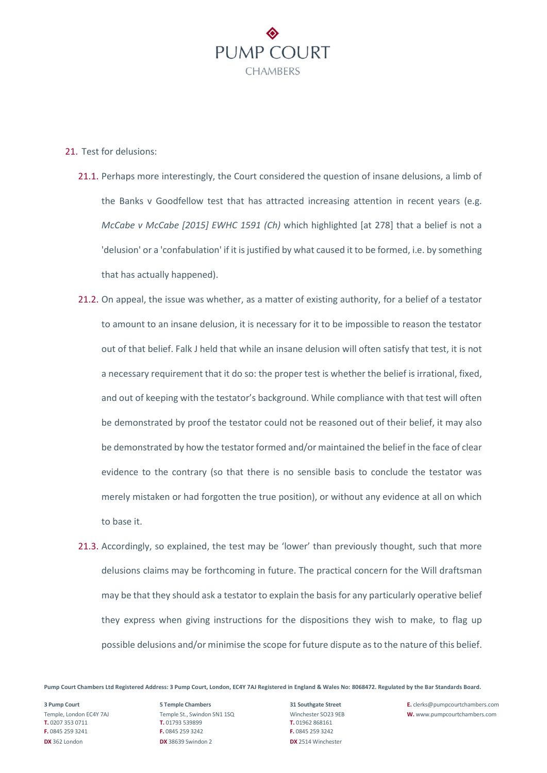

### 21. Test for delusions:

- 21.1. Perhaps more interestingly, the Court considered the question of insane delusions, a limb of the Banks v Goodfellow test that has attracted increasing attention in recent years (e.g. *McCabe v McCabe [2015] EWHC 1591 (Ch)* which highlighted [at 278] that a belief is not a 'delusion' or a 'confabulation' if it is justified by what caused it to be formed, i.e. by something that has actually happened).
- 21.2. On appeal, the issue was whether, as a matter of existing authority, for a belief of a testator to amount to an insane delusion, it is necessary for it to be impossible to reason the testator out of that belief. Falk J held that while an insane delusion will often satisfy that test, it is not a necessary requirement that it do so: the proper test is whether the belief is irrational, fixed, and out of keeping with the testator's background. While compliance with that test will often be demonstrated by proof the testator could not be reasoned out of their belief, it may also be demonstrated by how the testator formed and/or maintained the belief in the face of clear evidence to the contrary (so that there is no sensible basis to conclude the testator was merely mistaken or had forgotten the true position), or without any evidence at all on which to base it.
- 21.3. Accordingly, so explained, the test may be 'lower' than previously thought, such that more delusions claims may be forthcoming in future. The practical concern for the Will draftsman may be that they should ask a testator to explain the basis for any particularly operative belief they express when giving instructions for the dispositions they wish to make, to flag up possible delusions and/or minimise the scope for future dispute as to the nature of this belief.

**Pump Court Chambers Ltd Registered Address: 3 Pump Court, London, EC4Y 7AJ Registered in England & Wales No: 8068472. Regulated by the Bar Standards Board.**

**T.** 0207 353 0711 **T.** 01793 539899 **T.** 01962 868161 **F.** 0845 259 3241 **F.** 0845 259 3242 **F.** 0845 259 3242 **DX** 362 London **DX** 38639 Swindon 2 **DX** 2514 Winchester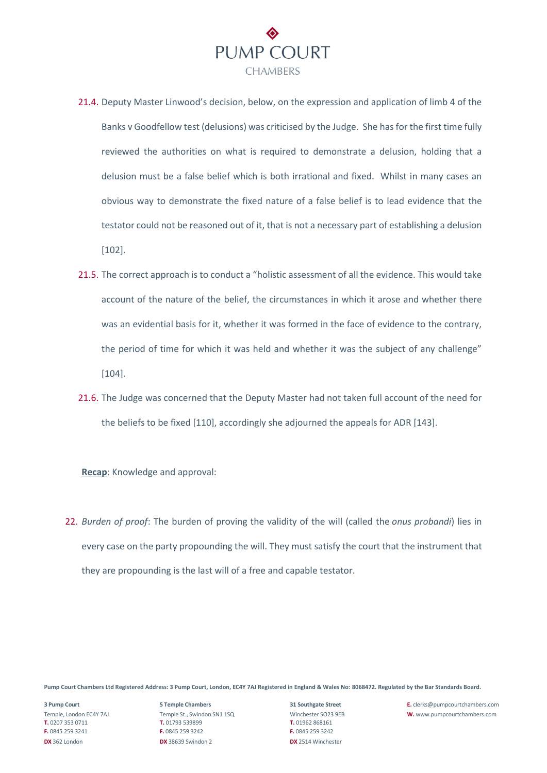

- 21.4. Deputy Master Linwood's decision, below, on the expression and application of limb 4 of the Banks v Goodfellow test (delusions) was criticised by the Judge. She has for the first time fully reviewed the authorities on what is required to demonstrate a delusion, holding that a delusion must be a false belief which is both irrational and fixed. Whilst in many cases an obvious way to demonstrate the fixed nature of a false belief is to lead evidence that the testator could not be reasoned out of it, that is not a necessary part of establishing a delusion [102].
- 21.5. The correct approach is to conduct a "holistic assessment of all the evidence. This would take account of the nature of the belief, the circumstances in which it arose and whether there was an evidential basis for it, whether it was formed in the face of evidence to the contrary, the period of time for which it was held and whether it was the subject of any challenge" [104].
- 21.6. The Judge was concerned that the Deputy Master had not taken full account of the need for the beliefs to be fixed [110], accordingly she adjourned the appeals for ADR [143].

**Recap**: Knowledge and approval:

22. *Burden of proof*: The burden of proving the validity of the will (called the *onus probandi*) lies in every case on the party propounding the will. They must satisfy the court that the instrument that they are propounding is the last will of a free and capable testator.

**Pump Court Chambers Ltd Registered Address: 3 Pump Court, London, EC4Y 7AJ Registered in England & Wales No: 8068472. Regulated by the Bar Standards Board.**

**T.** 0207 353 0711 **T.** 01793 539899 **T.** 01962 868161 **F.** 0845 259 3241 **F.** 0845 259 3242 **F.** 0845 259 3242 **DX** 362 London **DX** 38639 Swindon 2 **DX** 2514 Winchester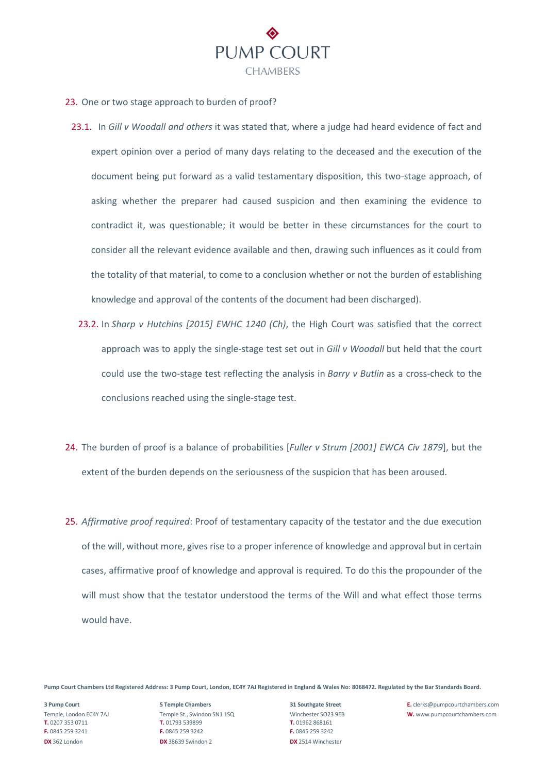

- 23. One or two stage approach to burden of proof?
	- 23.1. In *Gill v Woodall and others* it was stated that, where a judge had heard evidence of fact and expert opinion over a period of many days relating to the deceased and the execution of the document being put forward as a valid testamentary disposition, this two-stage approach, of asking whether the preparer had caused suspicion and then examining the evidence to contradict it, was questionable; it would be better in these circumstances for the court to consider all the relevant evidence available and then, drawing such influences as it could from the totality of that material, to come to a conclusion whether or not the burden of establishing knowledge and approval of the contents of the document had been discharged).
		- 23.2. In *Sharp v [Hutchins](https://uk.practicallaw.thomsonreuters.com/D-032-7052?originationContext=document&transitionType=PLDocumentLink&contextData=(sc.Default)&ppcid=af149b484ee6480db113ab5cd7291196) [2015] EWHC 1240 (Ch)*, the High Court was satisfied that the correct approach was to apply the single-stage test set out in *Gill v Woodall* but held that the court could use the two-stage test reflecting the analysis in *Barry v Butlin* as a cross-check to the conclusions reached using the single-stage test.
- 24. The burden of proof is a balance of probabilities [*Fuller v Strum [\[2001\]](https://uk.practicallaw.thomsonreuters.com/D-001-0679?originationContext=document&transitionType=PLDocumentLink&contextData=(sc.Default)&ppcid=af149b484ee6480db113ab5cd7291196) EWCA Civ 1879*], but the extent of the burden depends on the seriousness of the suspicion that has been aroused.
- 25. *Affirmative proof required*: Proof of testamentary capacity of the testator and the due execution of the will, without more, gives rise to a proper inference of knowledge and approval but in certain cases, affirmative proof of knowledge and approval is required. To do this the propounder of the will must show that the testator understood the terms of the Will and what effect those terms would have.

**T.** 0207 353 0711 **T.** 01793 539899 **T.** 01962 868161 **F.** 0845 259 3241 **F.** 0845 259 3242 **F.** 0845 259 3242 **DX** 362 London **DX** 38639 Swindon 2 **DX** 2514 Winchester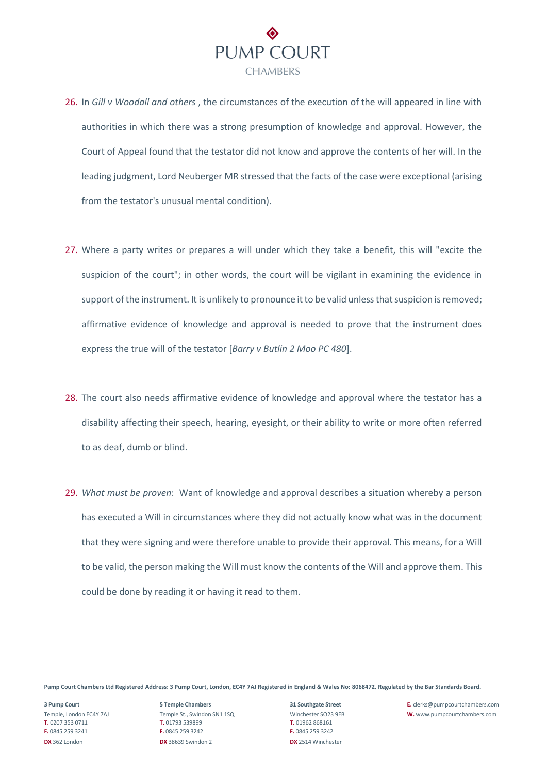

- 26. In *Gill v [Woodall](https://uk.practicallaw.thomsonreuters.com/D-001-0639?originationContext=document&transitionType=PLDocumentLink&contextData=(sc.Default)&ppcid=af149b484ee6480db113ab5cd7291196) and others* , the circumstances of the execution of the will appeared in line with authorities in which there was a strong presumption of knowledge and approval. However, the Court of Appeal found that the testator did not know and approve the contents of her will. In the leading judgment, Lord Neuberger MR stressed that the facts of the case were exceptional (arising from the testator's unusual mental condition).
- 27. Where a party writes or prepares a will under which they take a benefit, this will "excite the suspicion of the court"; in other words, the court will be vigilant in examining the evidence in support of the instrument. It is unlikely to pronounce it to be valid unless that suspicion is removed; affirmative evidence of knowledge and approval is needed to prove that the instrument does express the true will of the testator [*Barry v [Butlin](https://uk.practicallaw.thomsonreuters.com/D-001-0678?originationContext=document&transitionType=PLDocumentLink&contextData=(sc.Default)&ppcid=af149b484ee6480db113ab5cd7291196) 2 Moo PC 480*].
- 28. The court also needs affirmative evidence of knowledge and approval where the testator has a disability affecting their speech, hearing, eyesight, or their ability to write or more often referred to as deaf, dumb or blind.
- 29. *What must be proven*: Want of knowledge and approval describes a situation whereby a person has executed a Will in circumstances where they did not actually know what was in the document that they were signing and were therefore unable to provide their approval. This means, for a Will to be valid, the person making the Will must know the contents of the Will and approve them. This could be done by reading it or having it read to them.

**T.** 0207 353 0711 **T.** 01793 539899 **T.** 01962 868161 **F.** 0845 259 3241 **F.** 0845 259 3242 **F.** 0845 259 3242 **DX** 362 London **DX** 38639 Swindon 2 **DX** 2514 Winchester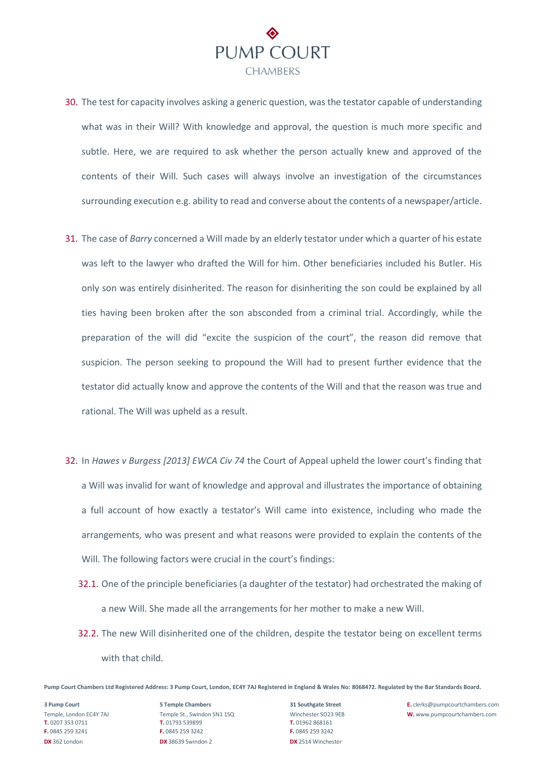

- 30. The test for capacity involves asking a generic question, was the testator capable of understanding what was in their Will? With knowledge and approval, the question is much more specific and subtle. Here, we are required to ask whether the person actually knew and approved of the contents of their Will. Such cases will always involve an investigation of the circumstances surrounding execution e.g. ability to read and converse about the contents of a newspaper/article.
- 31. The case of *Barry* concerned a Will made by an elderly testator under which a quarter of his estate was left to the lawyer who drafted the Will for him. Other beneficiaries included his Butler. His only son was entirely disinherited. The reason for disinheriting the son could be explained by all ties having been broken after the son absconded from a criminal trial. Accordingly, while the preparation of the will did "excite the suspicion of the court", the reason did remove that suspicion. The person seeking to propound the Will had to present further evidence that the testator did actually know and approve the contents of the Will and that the reason was true and rational. The Will was upheld as a result.
- 32. In *Hawes v Burgess [2013] EWCA Civ 74* the Court of Appeal upheld the lower court's finding that a Will was invalid for want of knowledge and approval and illustrates the importance of obtaining a full account of how exactly a testator's Will came into existence, including who made the arrangements, who was present and what reasons were provided to explain the contents of the Will. The following factors were crucial in the court's findings:
	- 32.1. One of the principle beneficiaries (a daughter of the testator) had orchestrated the making of a new Will. She made all the arrangements for her mother to make a new Will.
	- 32.2. The new Will disinherited one of the children, despite the testator being on excellent terms with that child.

**T.** 0207 353 0711 **T.** 01793 539899 **T.** 01962 868161 **F.** 0845 259 3241 **F.** 0845 259 3242 **F.** 0845 259 3242 **DX** 362 London **DX** 38639 Swindon 2 **DX** 2514 Winchester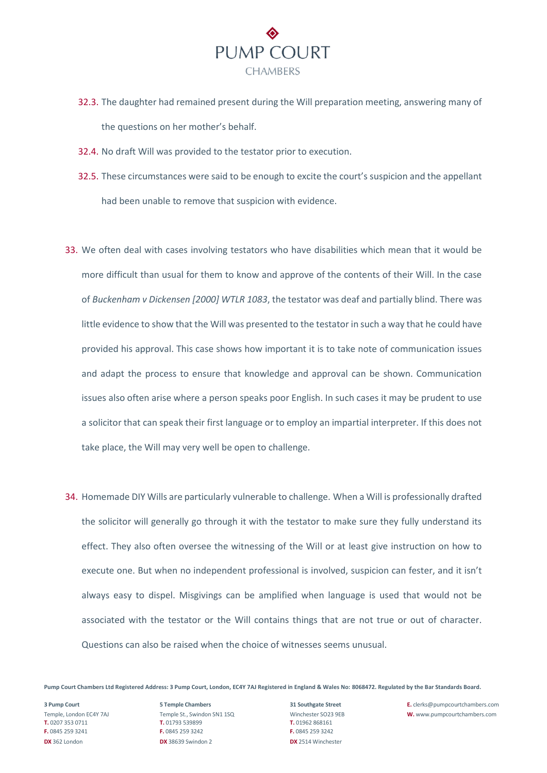

- 32.3. The daughter had remained present during the Will preparation meeting, answering many of the questions on her mother's behalf.
- 32.4. No draft Will was provided to the testator prior to execution.
- 32.5. These circumstances were said to be enough to excite the court's suspicion and the appellant had been unable to remove that suspicion with evidence.
- 33. We often deal with cases involving testators who have disabilities which mean that it would be more difficult than usual for them to know and approve of the contents of their Will. In the case of *Buckenham v Dickensen [2000] WTLR 1083*, the testator was deaf and partially blind. There was little evidence to show that the Will was presented to the testator in such a way that he could have provided his approval. This case shows how important it is to take note of communication issues and adapt the process to ensure that knowledge and approval can be shown. Communication issues also often arise where a person speaks poor English. In such cases it may be prudent to use a solicitor that can speak their first language or to employ an impartial interpreter. If this does not take place, the Will may very well be open to challenge.
- 34. Homemade DIY Wills are particularly vulnerable to challenge. When a Will is professionally drafted the solicitor will generally go through it with the testator to make sure they fully understand its effect. They also often oversee the witnessing of the Will or at least give instruction on how to execute one. But when no independent professional is involved, suspicion can fester, and it isn't always easy to dispel. Misgivings can be amplified when language is used that would not be associated with the testator or the Will contains things that are not true or out of character. Questions can also be raised when the choice of witnesses seems unusual.

**T.** 0207 353 0711 **T.** 01793 539899 **T.** 01962 868161 **F.** 0845 259 3241 **F.** 0845 259 3242 **F.** 0845 259 3242 **DX** 362 London **DX** 38639 Swindon 2 **DX** 2514 Winchester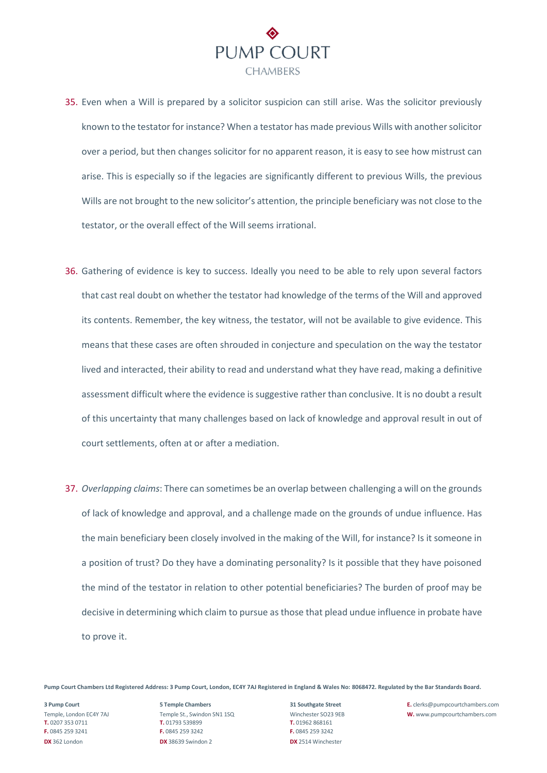

- 35. Even when a Will is prepared by a solicitor suspicion can still arise. Was the solicitor previously known to the testator for instance? When a testator has made previous Wills with another solicitor over a period, but then changes solicitor for no apparent reason, it is easy to see how mistrust can arise. This is especially so if the legacies are significantly different to previous Wills, the previous Wills are not brought to the new solicitor's attention, the principle beneficiary was not close to the testator, or the overall effect of the Will seems irrational.
- 36. Gathering of evidence is key to success. Ideally you need to be able to rely upon several factors that cast real doubt on whether the testator had knowledge of the terms of the Will and approved its contents. Remember, the key witness, the testator, will not be available to give evidence. This means that these cases are often shrouded in conjecture and speculation on the way the testator lived and interacted, their ability to read and understand what they have read, making a definitive assessment difficult where the evidence is suggestive rather than conclusive. It is no doubt a result of this uncertainty that many challenges based on lack of knowledge and approval result in out of court settlements, often at or after a mediation.
- 37. *Overlapping claims*: There can sometimes be an overlap between challenging a will on the grounds of lack of knowledge and approval, and a challenge made on the grounds of undue influence. Has the main beneficiary been closely involved in the making of the Will, for instance? Is it someone in a position of trust? Do they have a dominating personality? Is it possible that they have poisoned the mind of the testator in relation to other potential beneficiaries? The burden of proof may be decisive in determining which claim to pursue as those that plead undue influence in probate have to prove it.

**T.** 0207 353 0711 **T.** 01793 539899 **T.** 01962 868161 **F.** 0845 259 3241 **F.** 0845 259 3242 **F.** 0845 259 3242 **DX** 362 London **DX** 38639 Swindon 2 **DX** 2514 Winchester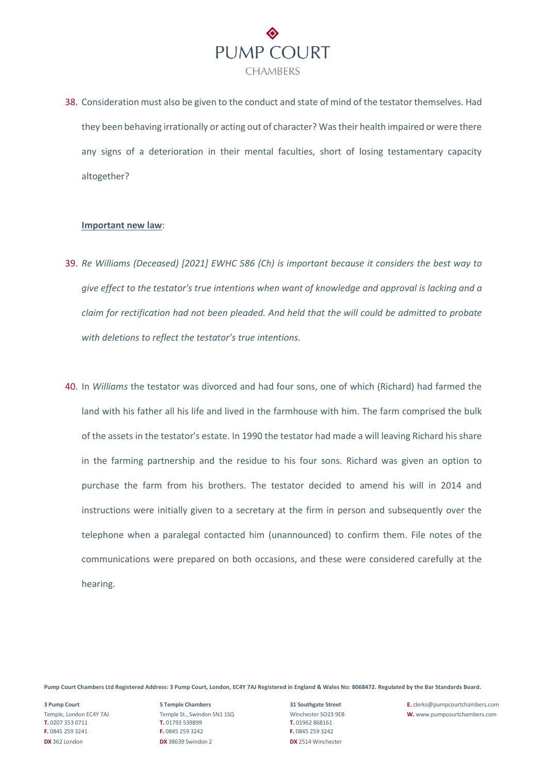

38. Consideration must also be given to the conduct and state of mind of the testator themselves. Had they been behaving irrationally or acting out of character? Was their health impaired or were there any signs of a deterioration in their mental faculties, short of losing testamentary capacity altogether?

### **Important new law**:

- 39. *Re Williams (Deceased) [2021] EWHC 586 (Ch) is important because it considers the best way to give effect to the testator's true intentions when want of knowledge and approval is lacking and a claim for rectification had not been pleaded. And held that the will could be admitted to probate with deletions to reflect the testator's true intentions.*
- 40. In *Williams* the testator was divorced and had four sons, one of which (Richard) had farmed the land with his father all his life and lived in the farmhouse with him. The farm comprised the bulk of the assets in the testator's estate. In 1990 the testator had made a will leaving Richard his share in the farming partnership and the residue to his four sons. Richard was given an option to purchase the farm from his brothers. The testator decided to amend his will in 2014 and instructions were initially given to a secretary at the firm in person and subsequently over the telephone when a paralegal contacted him (unannounced) to confirm them. File notes of the communications were prepared on both occasions, and these were considered carefully at the hearing.

**Pump Court Chambers Ltd Registered Address: 3 Pump Court, London, EC4Y 7AJ Registered in England & Wales No: 8068472. Regulated by the Bar Standards Board.**

**T.** 0207 353 0711 **T.** 01793 539899 **T.** 01962 868161 **F.** 0845 259 3241 **F.** 0845 259 3242 **F.** 0845 259 3242 **DX** 362 London **DX** 38639 Swindon 2 **DX** 2514 Winchester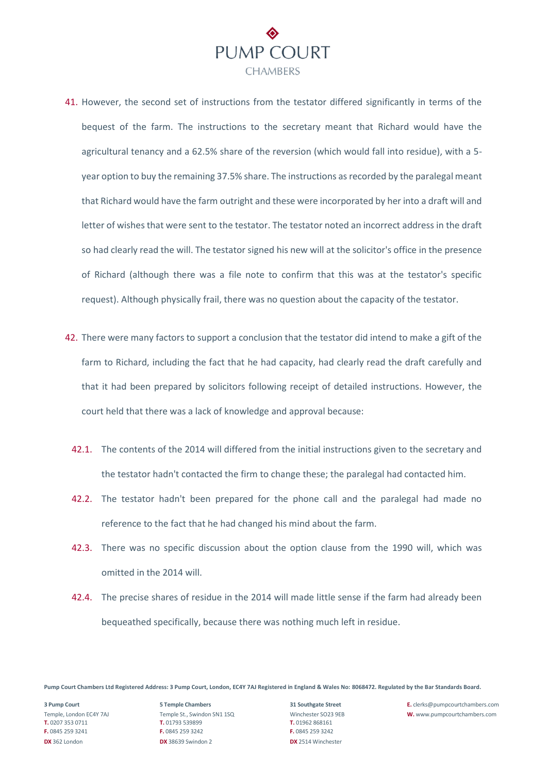

- 41. However, the second set of instructions from the testator differed significantly in terms of the bequest of the farm. The instructions to the secretary meant that Richard would have the agricultural tenancy and a 62.5% share of the reversion (which would fall into residue), with a 5 year option to buy the remaining 37.5% share. The instructions as recorded by the paralegal meant that Richard would have the farm outright and these were incorporated by her into a draft will and letter of wishes that were sent to the testator. The testator noted an incorrect address in the draft so had clearly read the will. The testator signed his new will at the solicitor's office in the presence of Richard (although there was a file note to confirm that this was at the testator's specific request). Although physically frail, there was no question about the capacity of the testator.
- 42. There were many factors to support a conclusion that the testator did intend to make a gift of the farm to Richard, including the fact that he had capacity, had clearly read the draft carefully and that it had been prepared by solicitors following receipt of detailed instructions. However, the court held that there was a lack of knowledge and approval because:
	- 42.1. The contents of the 2014 will differed from the initial instructions given to the secretary and the testator hadn't contacted the firm to change these; the paralegal had contacted him.
	- 42.2. The testator hadn't been prepared for the phone call and the paralegal had made no reference to the fact that he had changed his mind about the farm.
	- 42.3. There was no specific discussion about the option clause from the 1990 will, which was omitted in the 2014 will.
	- 42.4. The precise shares of residue in the 2014 will made little sense if the farm had already been bequeathed specifically, because there was nothing much left in residue.

**T.** 0207 353 0711 **T.** 01793 539899 **T.** 01962 868161 **F.** 0845 259 3241 **F.** 0845 259 3242 **F.** 0845 259 3242 **DX** 362 London **DX** 38639 Swindon 2 **DX** 2514 Winchester